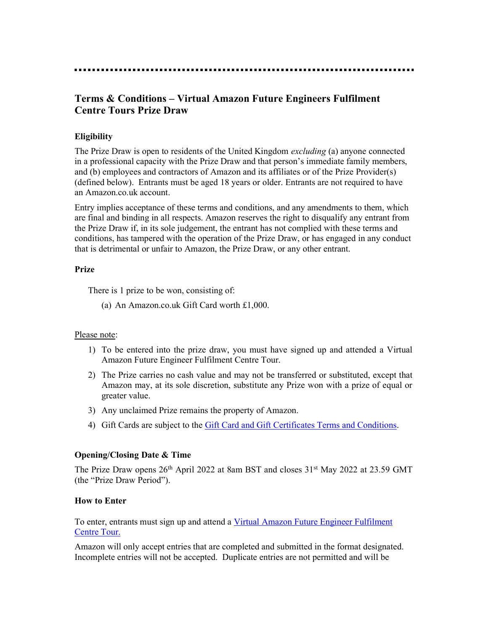# Terms & Conditions – Virtual Amazon Future Engineers Fulfilment Centre Tours Prize Draw

# **Eligibility**

The Prize Draw is open to residents of the United Kingdom *excluding* (a) anyone connected in a professional capacity with the Prize Draw and that person's immediate family members, and (b) employees and contractors of Amazon and its affiliates or of the Prize Provider(s) (defined below). Entrants must be aged 18 years or older. Entrants are not required to have an Amazon.co.uk account.

Entry implies acceptance of these terms and conditions, and any amendments to them, which are final and binding in all respects. Amazon reserves the right to disqualify any entrant from the Prize Draw if, in its sole judgement, the entrant has not complied with these terms and conditions, has tampered with the operation of the Prize Draw, or has engaged in any conduct that is detrimental or unfair to Amazon, the Prize Draw, or any other entrant.

## Prize

There is 1 prize to be won, consisting of:

(a) An Amazon.co.uk Gift Card worth £1,000.

# Please note:

- 1) To be entered into the prize draw, you must have signed up and attended a Virtual Amazon Future Engineer Fulfilment Centre Tour.
- 2) The Prize carries no cash value and may not be transferred or substituted, except that Amazon may, at its sole discretion, substitute any Prize won with a prize of equal or greater value.
- 3) Any unclaimed Prize remains the property of Amazon.
- 4) Gift Cards are subject to the Gift Card and Gift Certificates Terms and Conditions.

# Opening/Closing Date & Time

The Prize Draw opens  $26<sup>th</sup>$  April 2022 at 8am BST and closes  $31<sup>st</sup>$  May 2022 at 23.59 GMT (the "Prize Draw Period").

#### How to Enter

To enter, entrants must sign up and attend a Virtual Amazon Future Engineer Fulfilment Centre Tour.

Amazon will only accept entries that are completed and submitted in the format designated. Incomplete entries will not be accepted. Duplicate entries are not permitted and will be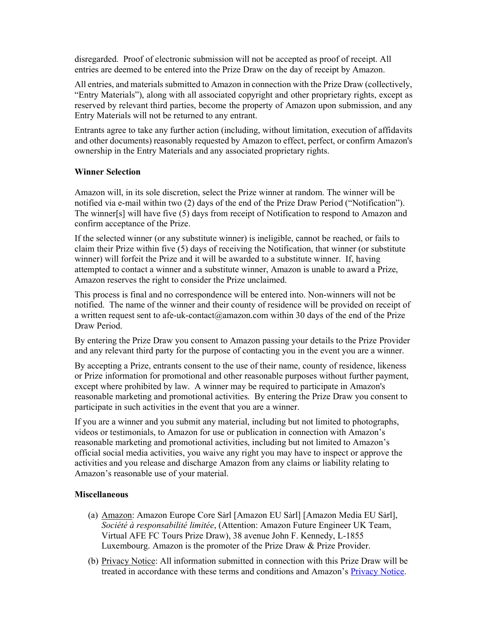disregarded. Proof of electronic submission will not be accepted as proof of receipt. All entries are deemed to be entered into the Prize Draw on the day of receipt by Amazon.

All entries, and materials submitted to Amazon in connection with the Prize Draw (collectively, "Entry Materials"), along with all associated copyright and other proprietary rights, except as reserved by relevant third parties, become the property of Amazon upon submission, and any Entry Materials will not be returned to any entrant.

Entrants agree to take any further action (including, without limitation, execution of affidavits and other documents) reasonably requested by Amazon to effect, perfect, or confirm Amazon's ownership in the Entry Materials and any associated proprietary rights.

## Winner Selection

Amazon will, in its sole discretion, select the Prize winner at random. The winner will be notified via e-mail within two (2) days of the end of the Prize Draw Period ("Notification"). The winner[s] will have five (5) days from receipt of Notification to respond to Amazon and confirm acceptance of the Prize.

If the selected winner (or any substitute winner) is ineligible, cannot be reached, or fails to claim their Prize within five (5) days of receiving the Notification, that winner (or substitute winner) will forfeit the Prize and it will be awarded to a substitute winner. If, having attempted to contact a winner and a substitute winner, Amazon is unable to award a Prize, Amazon reserves the right to consider the Prize unclaimed.

This process is final and no correspondence will be entered into. Non-winners will not be notified. The name of the winner and their county of residence will be provided on receipt of a written request sent to afe-uk-contact@amazon.com within 30 days of the end of the Prize Draw Period.

By entering the Prize Draw you consent to Amazon passing your details to the Prize Provider and any relevant third party for the purpose of contacting you in the event you are a winner.

By accepting a Prize, entrants consent to the use of their name, county of residence, likeness or Prize information for promotional and other reasonable purposes without further payment, except where prohibited by law. A winner may be required to participate in Amazon's reasonable marketing and promotional activities. By entering the Prize Draw you consent to participate in such activities in the event that you are a winner.

If you are a winner and you submit any material, including but not limited to photographs, videos or testimonials, to Amazon for use or publication in connection with Amazon's reasonable marketing and promotional activities, including but not limited to Amazon's official social media activities, you waive any right you may have to inspect or approve the activities and you release and discharge Amazon from any claims or liability relating to Amazon's reasonable use of your material.

#### **Miscellaneous**

- (a) Amazon: Amazon Europe Core Sàrl [Amazon EU Sàrl] [Amazon Media EU Sàrl], Société à responsabilité limitée, (Attention: Amazon Future Engineer UK Team, Virtual AFE FC Tours Prize Draw), 38 avenue John F. Kennedy, L-1855 Luxembourg. Amazon is the promoter of the Prize Draw & Prize Provider.
- (b) Privacy Notice: All information submitted in connection with this Prize Draw will be treated in accordance with these terms and conditions and Amazon's Privacy Notice.